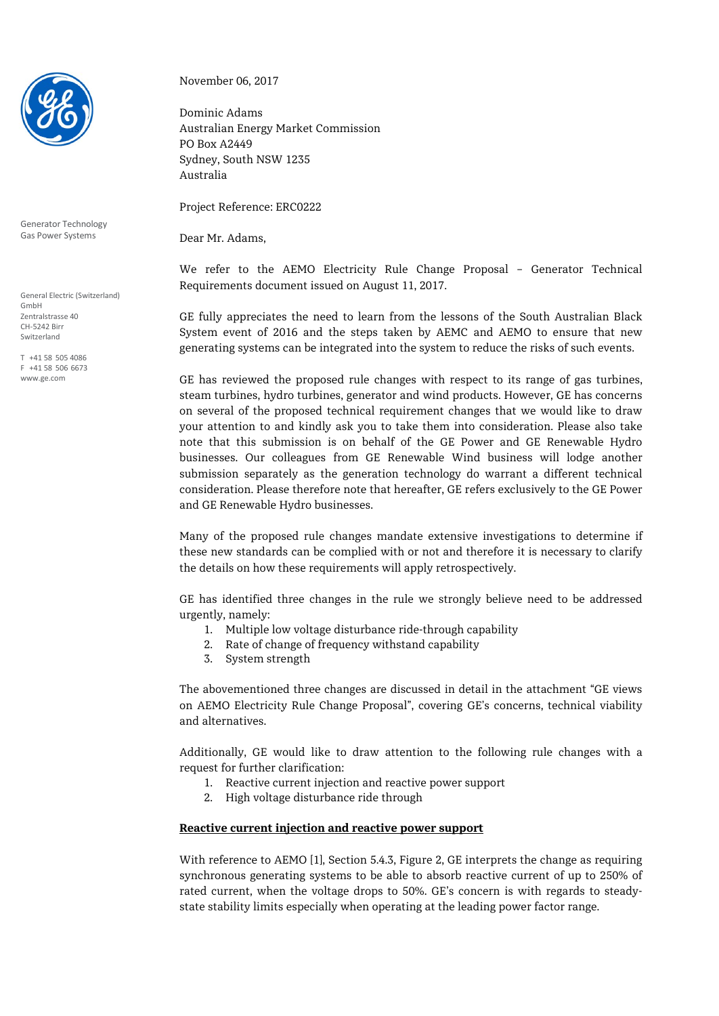

Generator Technology Gas Power Systems

General Electric (Switzerland) GmbH Zentralstrasse 40 CH-5242 Birr Switzerland

T +41 58 505 4086 F +41 58 506 6673 www.ge.com

November 06, 2017

Dominic Adams Australian Energy Market Commission PO Box A2449 Sydney, South NSW 1235 Australia

Project Reference: ERC0222

Dear Mr. Adams,

We refer to the AEMO Electricity Rule Change Proposal – Generator Technical Requirements document issued on August 11, 2017.

GE fully appreciates the need to learn from the lessons of the South Australian Black System event of 2016 and the steps taken by AEMC and AEMO to ensure that new generating systems can be integrated into the system to reduce the risks of such events.

GE has reviewed the proposed rule changes with respect to its range of gas turbines, steam turbines, hydro turbines, generator and wind products. However, GE has concerns on several of the proposed technical requirement changes that we would like to draw your attention to and kindly ask you to take them into consideration. Please also take note that this submission is on behalf of the GE Power and GE Renewable Hydro businesses. Our colleagues from GE Renewable Wind business will lodge another submission separately as the generation technology do warrant a different technical consideration. Please therefore note that hereafter, GE refers exclusively to the GE Power and GE Renewable Hydro businesses.

Many of the proposed rule changes mandate extensive investigations to determine if these new standards can be complied with or not and therefore it is necessary to clarify the details on how these requirements will apply retrospectively.

GE has identified three changes in the rule we strongly believe need to be addressed urgently, namely:

- 1. Multiple low voltage disturbance ride-through capability
- 2. Rate of change of frequency withstand capability
- 3. System strength

The abovementioned three changes are discussed in detail in the attachment "GE views on AEMO Electricity Rule Change Proposal", covering GE's concerns, technical viability and alternatives.

Additionally, GE would like to draw attention to the following rule changes with a request for further clarification:

- 1. Reactive current injection and reactive power support
- 2. High voltage disturbance ride through

#### **Reactive current injection and reactive power support**

With reference to AEMO [1], Section 5.4.3, Figure 2, GE interprets the change as requiring synchronous generating systems to be able to absorb reactive current of up to 250% of rated current, when the voltage drops to 50%. GE's concern is with regards to steadystate stability limits especially when operating at the leading power factor range.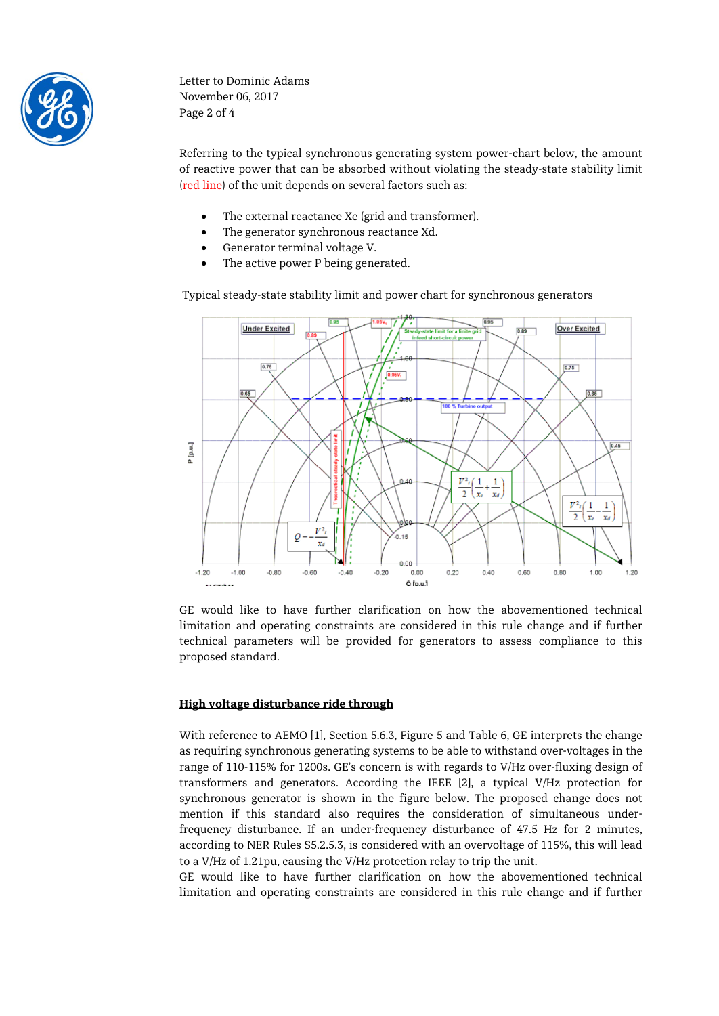

Letter to Dominic Adams November 06, 2017 Page 2 of 4

Referring to the typical synchronous generating system power-chart below, the amount of reactive power that can be absorbed without violating the steady-state stability limit (red line) of the unit depends on several factors such as:

- The external reactance Xe (grid and transformer).
- The generator synchronous reactance Xd.
- Generator terminal voltage V.
- The active power P being generated.

Typical steady-state stability limit and power chart for synchronous generators



GE would like to have further clarification on how the abovementioned technical limitation and operating constraints are considered in this rule change and if further technical parameters will be provided for generators to assess compliance to this proposed standard.

#### **High voltage disturbance ride through**

With reference to AEMO [1], Section 5.6.3, Figure 5 and Table 6, GE interprets the change as requiring synchronous generating systems to be able to withstand over-voltages in the range of 110-115% for 1200s. GE's concern is with regards to V/Hz over-fluxing design of transformers and generators. According the IEEE [2], a typical V/Hz protection for synchronous generator is shown in the figure below. The proposed change does not mention if this standard also requires the consideration of simultaneous underfrequency disturbance. If an under-frequency disturbance of 47.5 Hz for 2 minutes, according to NER Rules S5.2.5.3, is considered with an overvoltage of 115%, this will lead to a V/Hz of 1.21pu, causing the V/Hz protection relay to trip the unit.

GE would like to have further clarification on how the abovementioned technical limitation and operating constraints are considered in this rule change and if further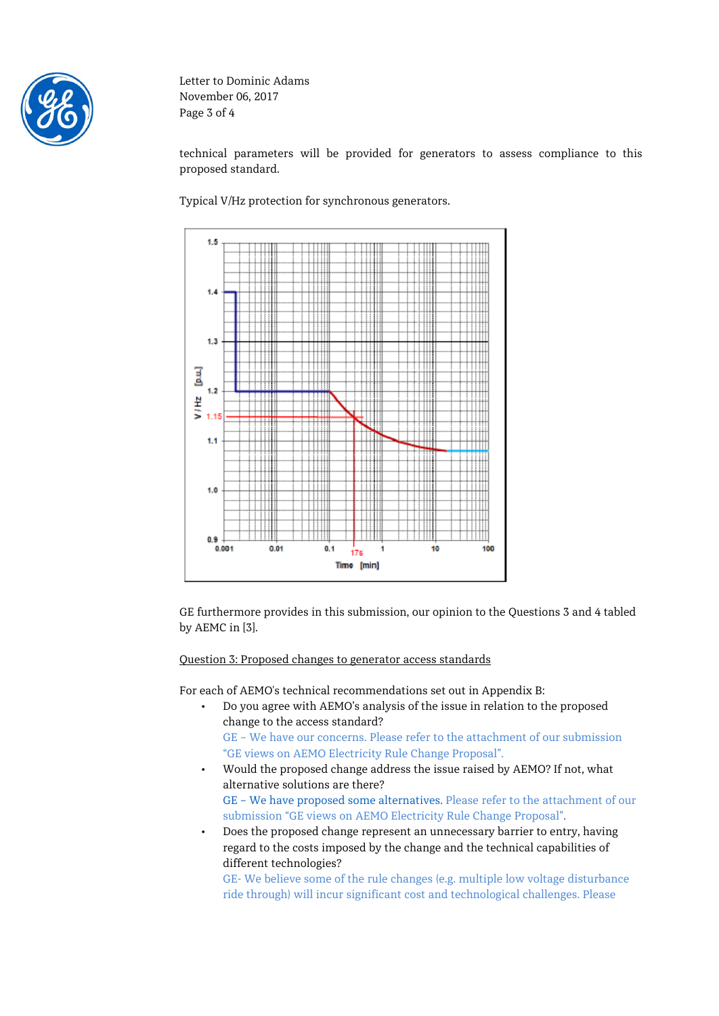

Letter to Dominic Adams November 06, 2017 Page 3 of 4

technical parameters will be provided for generators to assess compliance to this proposed standard.

Typical V/Hz protection for synchronous generators.



GE furthermore provides in this submission, our opinion to the Questions 3 and 4 tabled by AEMC in [3].

Question 3: Proposed changes to generator access standards

For each of AEMO's technical recommendations set out in Appendix B:

- Do you agree with AEMO's analysis of the issue in relation to the proposed change to the access standard? GE – We have our concerns. Please refer to the attachment of our submission "GE views on AEMO Electricity Rule Change Proposal".
- Would the proposed change address the issue raised by AEMO? If not, what alternative solutions are there? GE – We have proposed some alternatives. Please refer to the attachment of our submission "GE views on AEMO Electricity Rule Change Proposal".
- Does the proposed change represent an unnecessary barrier to entry, having regard to the costs imposed by the change and the technical capabilities of different technologies?

GE- We believe some of the rule changes (e.g. multiple low voltage disturbance ride through) will incur significant cost and technological challenges. Please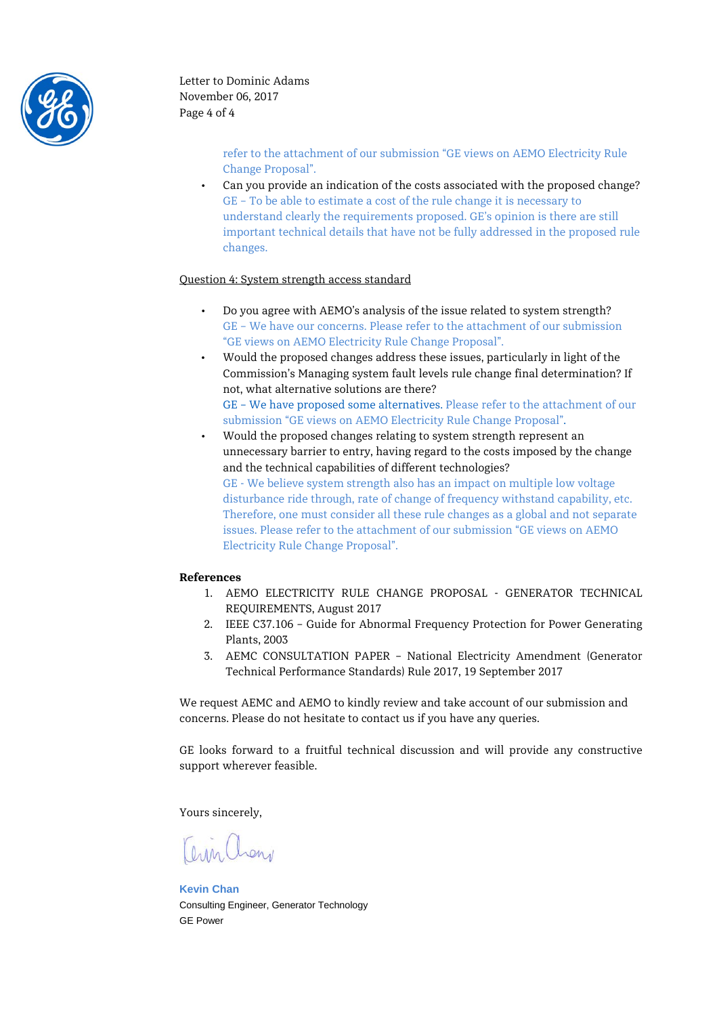

refer to the attachment of our submission "GE views on AEMO Electricity Rule Change Proposal".

• Can you provide an indication of the costs associated with the proposed change? GE – To be able to estimate a cost of the rule change it is necessary to understand clearly the requirements proposed. GE's opinion is there are still important technical details that have not be fully addressed in the proposed rule changes.

#### Question 4: System strength access standard

- Do you agree with AEMO's analysis of the issue related to system strength? GE – We have our concerns. Please refer to the attachment of our submission "GE views on AEMO Electricity Rule Change Proposal".
- Would the proposed changes address these issues, particularly in light of the Commission's Managing system fault levels rule change final determination? If not, what alternative solutions are there? GE – We have proposed some alternatives. Please refer to the attachment of our submission "GE views on AEMO Electricity Rule Change Proposal".
- Would the proposed changes relating to system strength represent an unnecessary barrier to entry, having regard to the costs imposed by the change and the technical capabilities of different technologies? GE - We believe system strength also has an impact on multiple low voltage disturbance ride through, rate of change of frequency withstand capability, etc. Therefore, one must consider all these rule changes as a global and not separate issues. Please refer to the attachment of our submission "GE views on AEMO Electricity Rule Change Proposal".

#### **References**

- 1. AEMO ELECTRICITY RULE CHANGE PROPOSAL GENERATOR TECHNICAL REQUIREMENTS, August 2017
- 2. IEEE C37.106 Guide for Abnormal Frequency Protection for Power Generating Plants, 2003
- 3. AEMC CONSULTATION PAPER National Electricity Amendment (Generator Technical Performance Standards) Rule 2017, 19 September 2017

We request AEMC and AEMO to kindly review and take account of our submission and concerns. Please do not hesitate to contact us if you have any queries.

GE looks forward to a fruitful technical discussion and will provide any constructive support wherever feasible.

Yours sincerely,

Orrn Chan

**Kevin Chan** Consulting Engineer, Generator Technology GE Power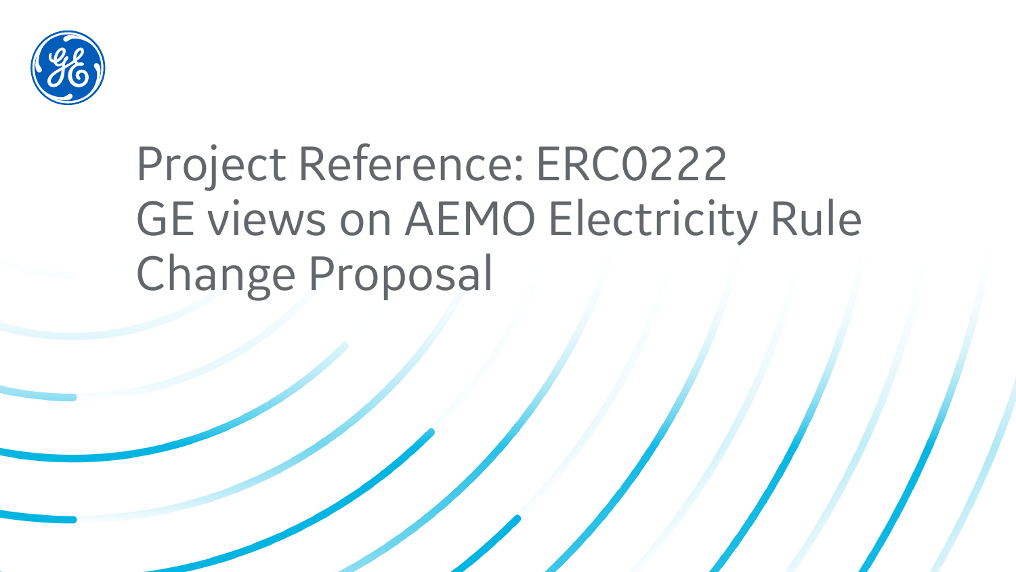

# Project Reference: ERC0222 GE views on AEMO Electricity Rule Change Proposal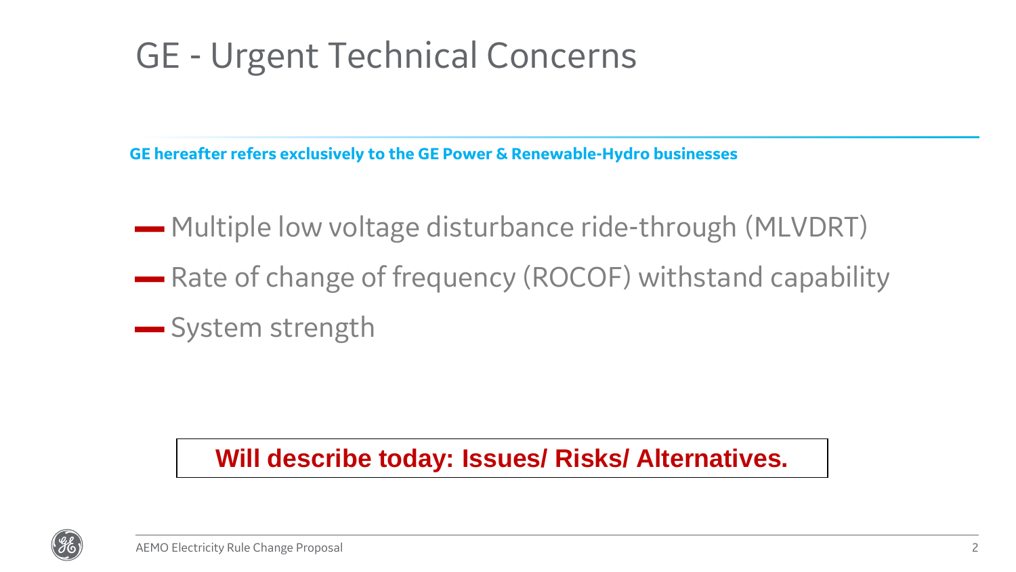### GE - Urgent Technical Concerns

**GE hereafter refers exclusively to the GE Power & Renewable-Hydro businesses**

- ▬ Multiple low voltage disturbance ride-through (MLVDRT)
- **Rate of change of frequency (ROCOF) withstand capability**
- ▬ System strength

### **Will describe today: Issues/ Risks/ Alternatives.**

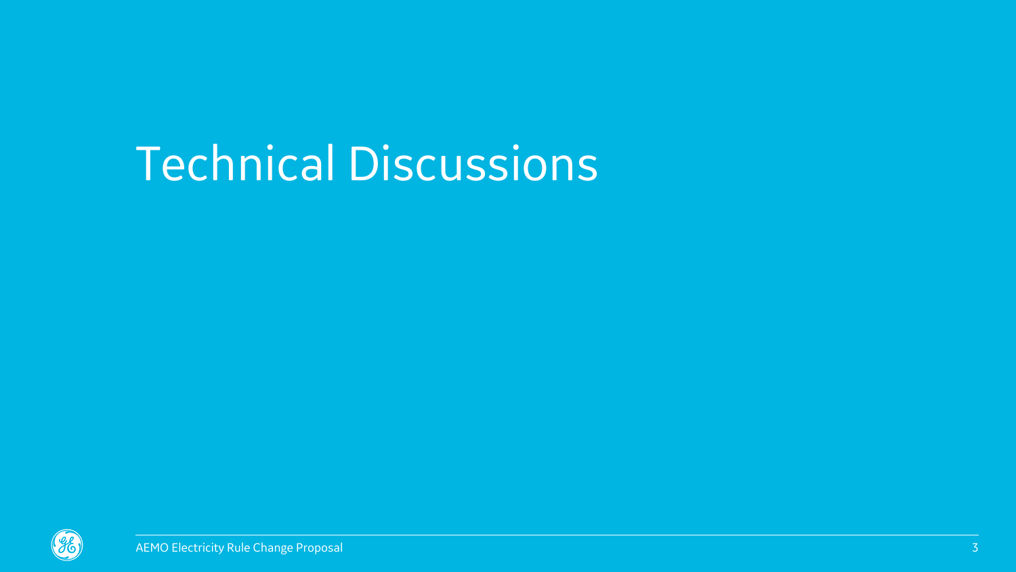# Technical Discussions

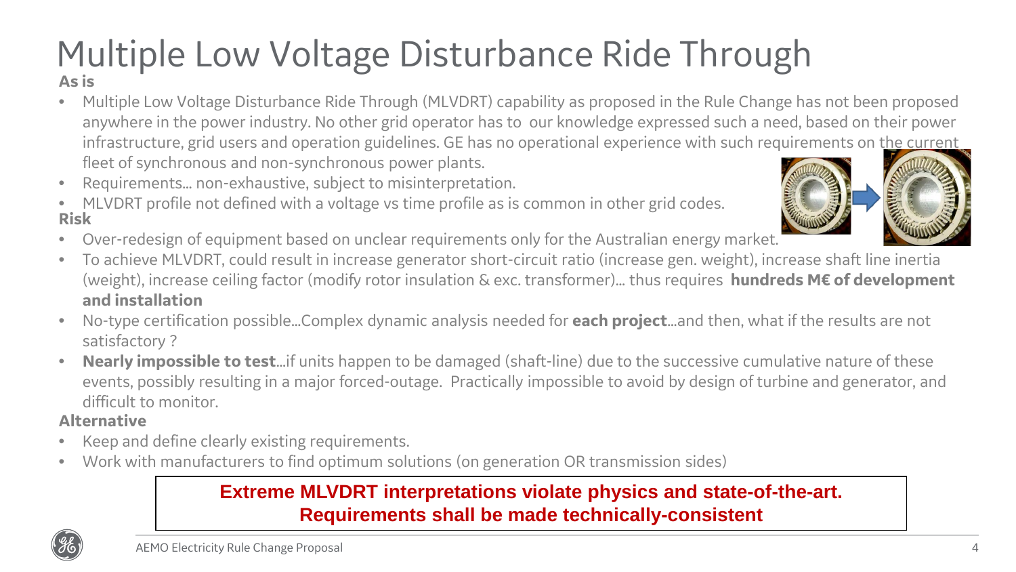### Multiple Low Voltage Disturbance Ride Through **As is**

- Multiple Low Voltage Disturbance Ride Through (MLVDRT) capability as proposed in the Rule Change has not been proposed anywhere in the power industry. No other grid operator has to our knowledge expressed such a need, based on their power infrastructure, grid users and operation guidelines. GE has no operational experience with such requirements on the current fleet of synchronous and non-synchronous power plants.
- Requirements… non-exhaustive, subject to misinterpretation.
- **Risk** MLVDRT profile not defined with a voltage vs time profile as is common in other grid codes.
- Over-redesign of equipment based on unclear requirements only for the Australian energy market.
- To achieve MLVDRT, could result in increase generator short-circuit ratio (increase gen. weight), increase shaft line inertia (weight), increase ceiling factor (modify rotor insulation & exc. transformer)… thus requires **hundreds M€ of development and installation**
- No-type certification possible…Complex dynamic analysis needed for **each project**…and then, what if the results are not satisfactory ?
- **Nearly impossible to test**…if units happen to be damaged (shaft-line) due to the successive cumulative nature of these events, possibly resulting in a major forced-outage. Practically impossible to avoid by design of turbine and generator, and difficult to monitor.

#### **Alternative**

- Keep and define clearly existing requirements.
- Work with manufacturers to find optimum solutions (on generation OR transmission sides)

### **Extreme MLVDRT interpretations violate physics and state-of-the-art. Requirements shall be made technically-consistent**



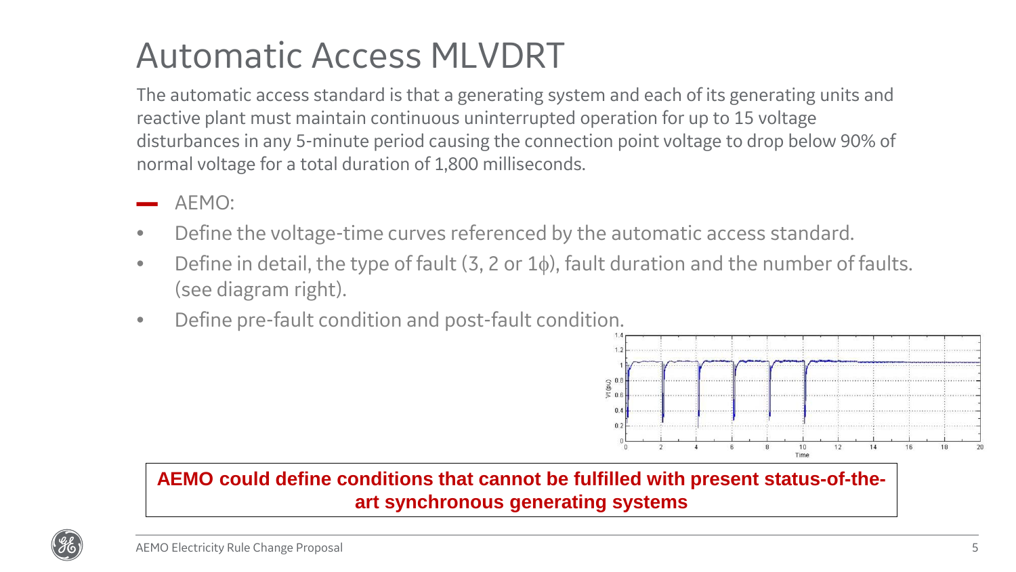### Automatic Access MLVDRT

The automatic access standard is that a generating system and each of its generating units and reactive plant must maintain continuous uninterrupted operation for up to 15 voltage disturbances in any 5-minute period causing the connection point voltage to drop below 90% of normal voltage for a total duration of 1,800 milliseconds.

- AEMO:
- Define the voltage-time curves referenced by the automatic access standard.
- Define in detail, the type of fault  $(3, 2 \text{ or } 1\phi)$ , fault duration and the number of faults. (see diagram right).
- Define pre-fault condition and post-fault condition.



**AEMO could define conditions that cannot be fulfilled with present status-of-theart synchronous generating systems**

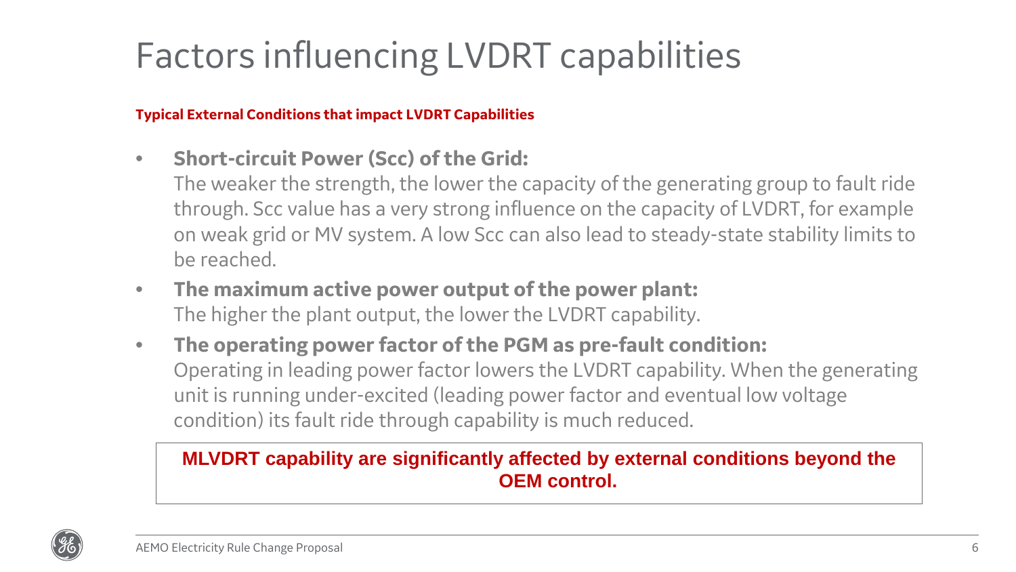## Factors influencing LVDRT capabilities

#### **Typical External Conditions that impact LVDRT Capabilities**

- **Short-circuit Power (Scc) of the Grid:**
	- The weaker the strength, the lower the capacity of the generating group to fault ride through. Scc value has a very strong influence on the capacity of LVDRT, for example on weak grid or MV system. A low Scc can also lead to steady-state stability limits to be reached.
- **The maximum active power output of the power plant:** The higher the plant output, the lower the LVDRT capability.
- **The operating power factor of the PGM as pre-fault condition:** Operating in leading power factor lowers the LVDRT capability. When the generating unit is running under-excited (leading power factor and eventual low voltage condition) its fault ride through capability is much reduced.

### **MLVDRT capability are significantly affected by external conditions beyond the OEM control.**

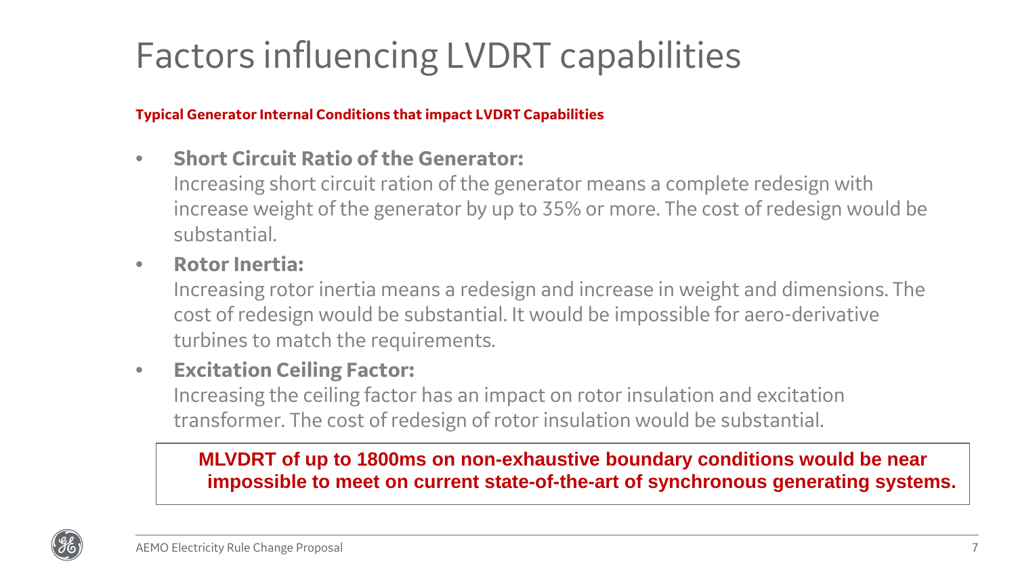## Factors influencing LVDRT capabilities

**Typical Generator Internal Conditions that impact LVDRT Capabilities**

- **Short Circuit Ratio of the Generator:**
	- Increasing short circuit ration of the generator means a complete redesign with increase weight of the generator by up to 35% or more. The cost of redesign would be substantial.
- **Rotor Inertia:**

Increasing rotor inertia means a redesign and increase in weight and dimensions. The cost of redesign would be substantial. It would be impossible for aero-derivative turbines to match the requirements.

### • **Excitation Ceiling Factor:**

Increasing the ceiling factor has an impact on rotor insulation and excitation transformer. The cost of redesign of rotor insulation would be substantial.

### **MLVDRT of up to 1800ms on non-exhaustive boundary conditions would be near impossible to meet on current state-of-the-art of synchronous generating systems.**

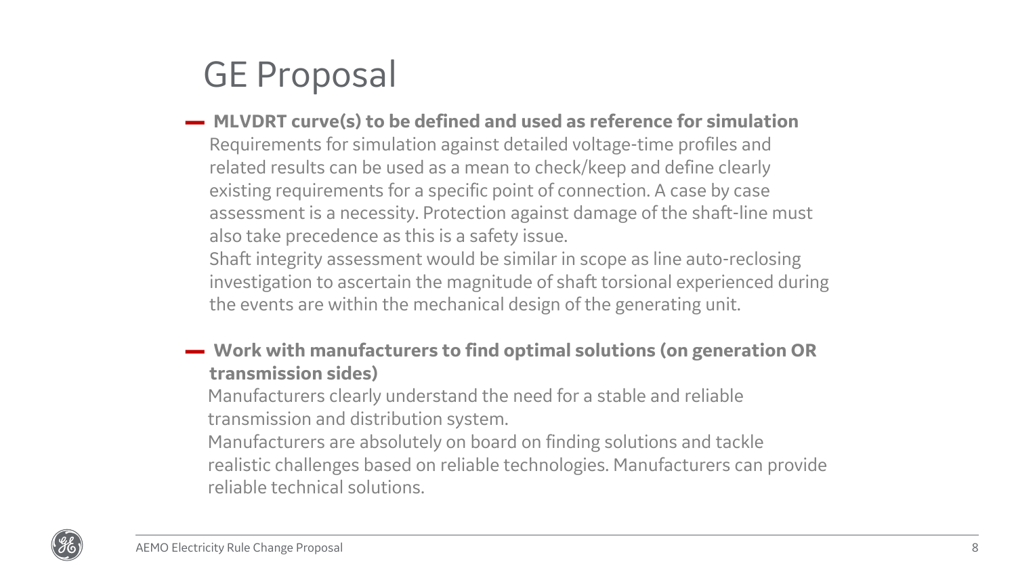### GE Proposal

▬ **MLVDRT curve(s) to be defined and used as reference for simulation** Requirements for simulation against detailed voltage-time profiles and related results can be used as a mean to check/keep and define clearly existing requirements for a specific point of connection. A case by case assessment is a necessity. Protection against damage of the shaft-line must also take precedence as this is a safety issue.

Shaft integrity assessment would be similar in scope as line auto-reclosing investigation to ascertain the magnitude of shaft torsional experienced during the events are within the mechanical design of the generating unit.

▬ **Work with manufacturers to find optimal solutions (on generation OR transmission sides)**

Manufacturers clearly understand the need for a stable and reliable transmission and distribution system.

Manufacturers are absolutely on board on finding solutions and tackle realistic challenges based on reliable technologies. Manufacturers can provide reliable technical solutions.

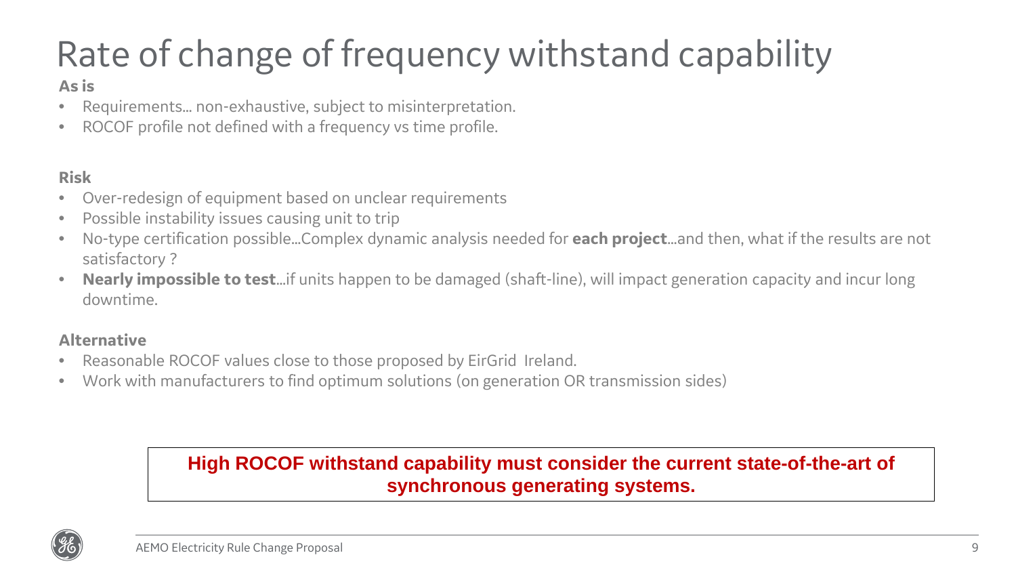# Rate of change of frequency withstand capability

#### **As is**

- Requirements… non-exhaustive, subject to misinterpretation.
- ROCOF profile not defined with a frequency vs time profile.

#### **Risk**

- Over-redesign of equipment based on unclear requirements
- Possible instability issues causing unit to trip
- No-type certification possible…Complex dynamic analysis needed for **each project**…and then, what if the results are not satisfactory ?
- **Nearly impossible to test**…if units happen to be damaged (shaft-line), will impact generation capacity and incur long downtime.

#### **Alternative**

- Reasonable ROCOF values close to those proposed by EirGrid Ireland.
- Work with manufacturers to find optimum solutions (on generation OR transmission sides)

#### **High ROCOF withstand capability must consider the current state-of-the-art of synchronous generating systems.**

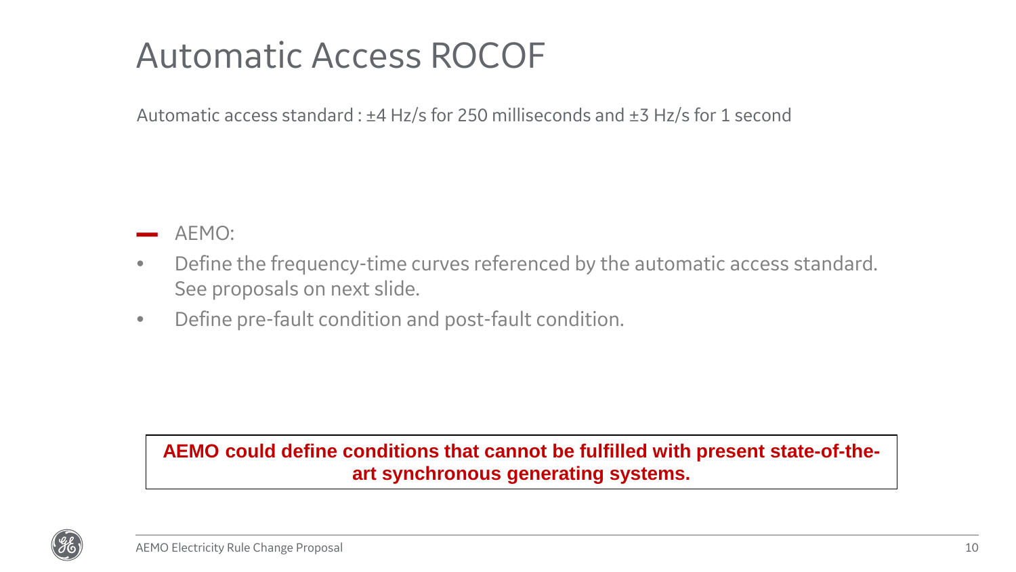### Automatic Access ROCOF

Automatic access standard : ±4 Hz/s for 250 milliseconds and ±3 Hz/s for 1 second

AEMO:

- Define the frequency-time curves referenced by the automatic access standard. See proposals on next slide.
- Define pre-fault condition and post-fault condition.

#### **AEMO could define conditions that cannot be fulfilled with present state-of-theart synchronous generating systems.**

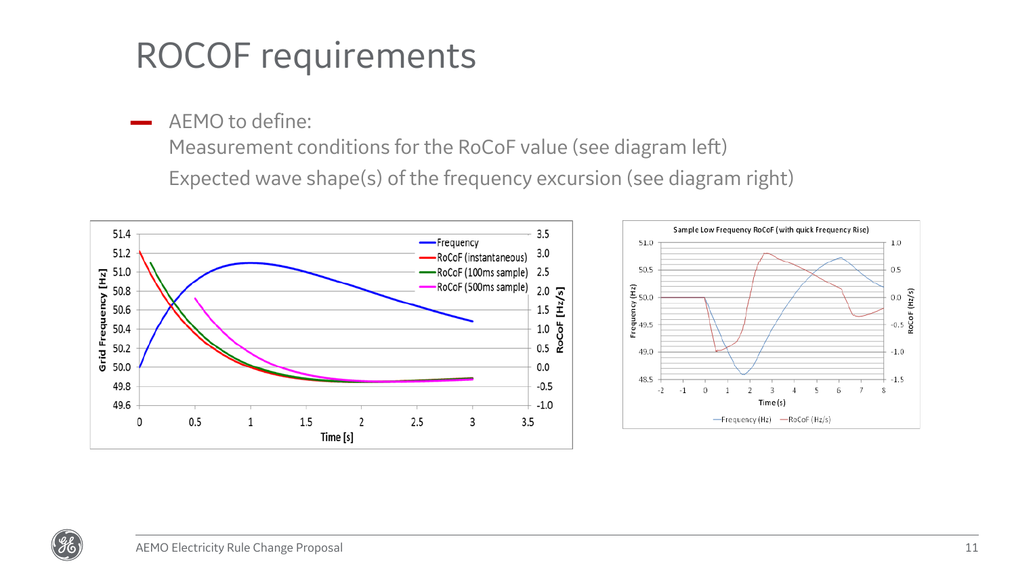### ROCOF requirements

AEMO to define:

Measurement conditions for the RoCoF value (see diagram left)

Expected wave shape(s) of the frequency excursion (see diagram right)





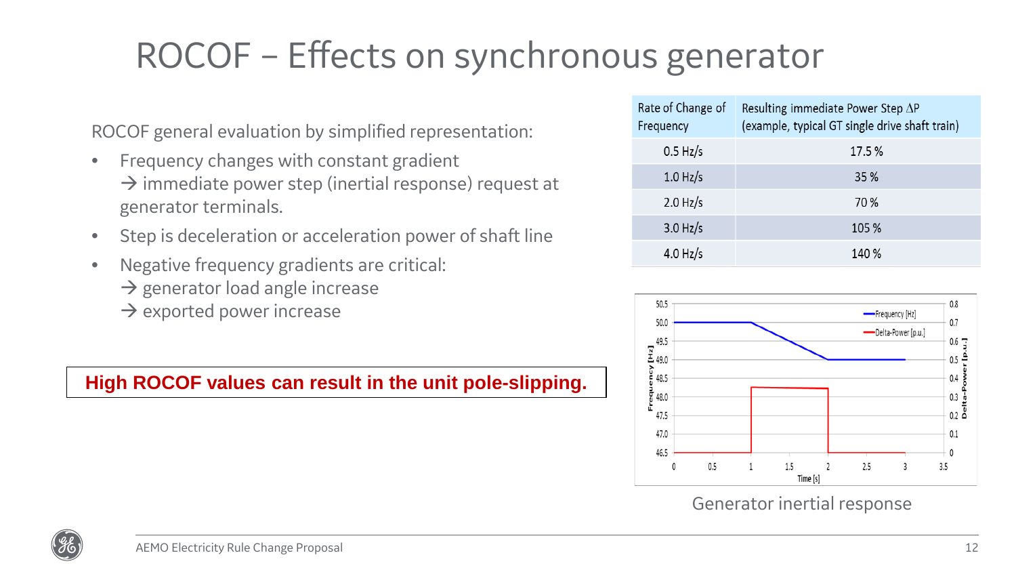## ROCOF – Effects on synchronous generator

ROCOF general evaluation by simplified representation:

- Frequency changes with constant gradient  $\rightarrow$  immediate power step (inertial response) request at generator terminals.
- Step is deceleration or acceleration power of shaft line
- Negative frequency gradients are critical:
	- $\rightarrow$  generator load angle increase
	- $\rightarrow$  exported power increase

#### **High ROCOF values can result in the unit pole-slipping.**

| Rate of Change of<br>Frequency | Resulting immediate Power Step $\Delta P$<br>(example, typical GT single drive shaft train) |
|--------------------------------|---------------------------------------------------------------------------------------------|
| $0.5$ Hz/s                     | 17.5 %                                                                                      |
| $1.0$ Hz/s                     | 35 %                                                                                        |
| $2.0$ Hz/s                     | 70 %                                                                                        |
| $3.0$ Hz/s                     | 105 %                                                                                       |
| $4.0$ Hz/s                     | 140 %                                                                                       |



#### Generator inertial response

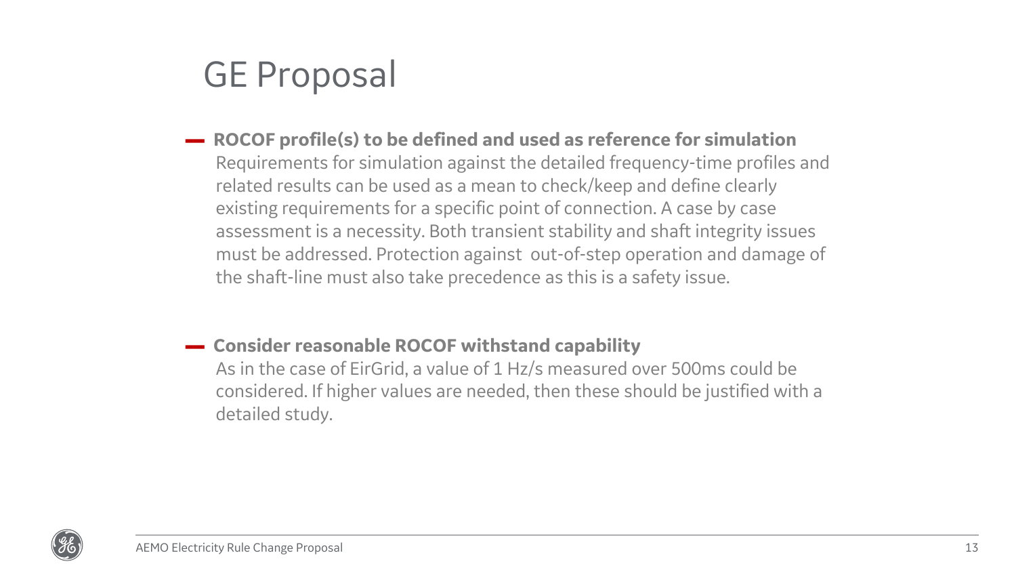### GE Proposal

- ▬ **ROCOF profile(s) to be defined and used as reference for simulation** Requirements for simulation against the detailed frequency-time profiles and related results can be used as a mean to check/keep and define clearly existing requirements for a specific point of connection. A case by case assessment is a necessity. Both transient stability and shaft integrity issues must be addressed. Protection against out-of-step operation and damage of the shaft-line must also take precedence as this is a safety issue.
- ▬ **Consider reasonable ROCOF withstand capability**

As in the case of EirGrid, a value of 1 Hz/s measured over 500ms could be considered. If higher values are needed, then these should be justified with a detailed study.

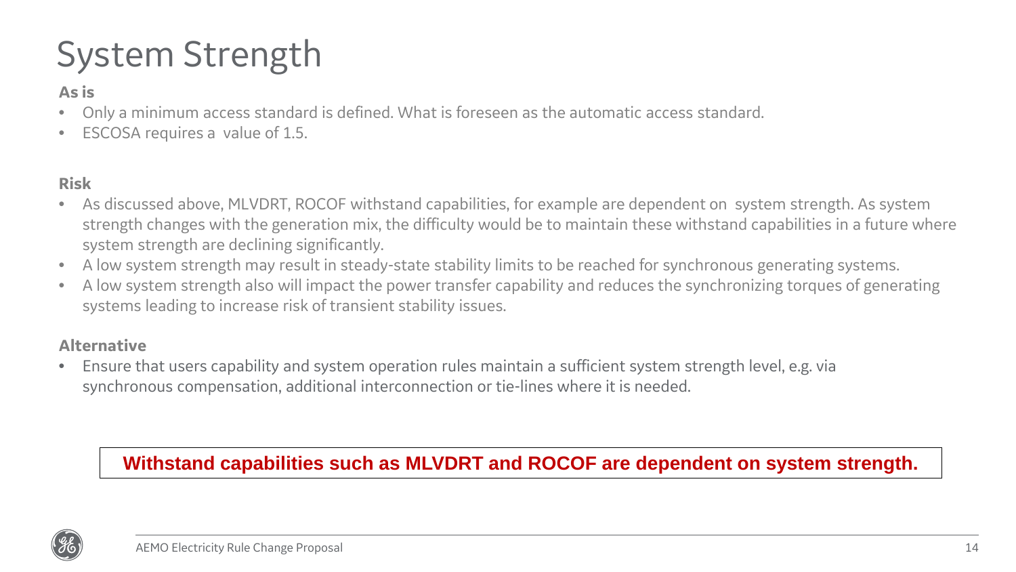## System Strength

#### **As is**

- Only a minimum access standard is defined. What is foreseen as the automatic access standard.
- ESCOSA requires a value of 1.5.

#### **Risk**

- As discussed above, MLVDRT, ROCOF withstand capabilities, for example are dependent on system strength. As system strength changes with the generation mix, the difficulty would be to maintain these withstand capabilities in a future where system strength are declining significantly.
- A low system strength may result in steady-state stability limits to be reached for synchronous generating systems.
- A low system strength also will impact the power transfer capability and reduces the synchronizing torques of generating systems leading to increase risk of transient stability issues.

#### **Alternative**

• Ensure that users capability and system operation rules maintain a sufficient system strength level, e.g. via synchronous compensation, additional interconnection or tie-lines where it is needed.

#### **Withstand capabilities such as MLVDRT and ROCOF are dependent on system strength.**

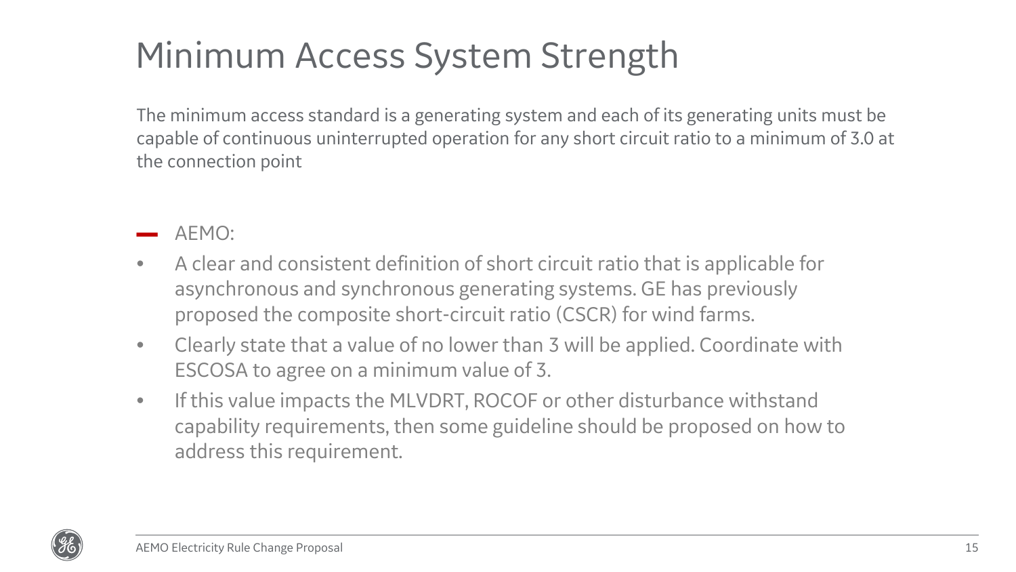## Minimum Access System Strength

The minimum access standard is a generating system and each of its generating units must be capable of continuous uninterrupted operation for any short circuit ratio to a minimum of 3.0 at the connection point

- AFMO:
- A clear and consistent definition of short circuit ratio that is applicable for asynchronous and synchronous generating systems. GE has previously proposed the composite short-circuit ratio (CSCR) for wind farms.
- Clearly state that a value of no lower than 3 will be applied. Coordinate with ESCOSA to agree on a minimum value of 3.
- If this value impacts the MLVDRT, ROCOF or other disturbance withstand capability requirements, then some guideline should be proposed on how to address this requirement.

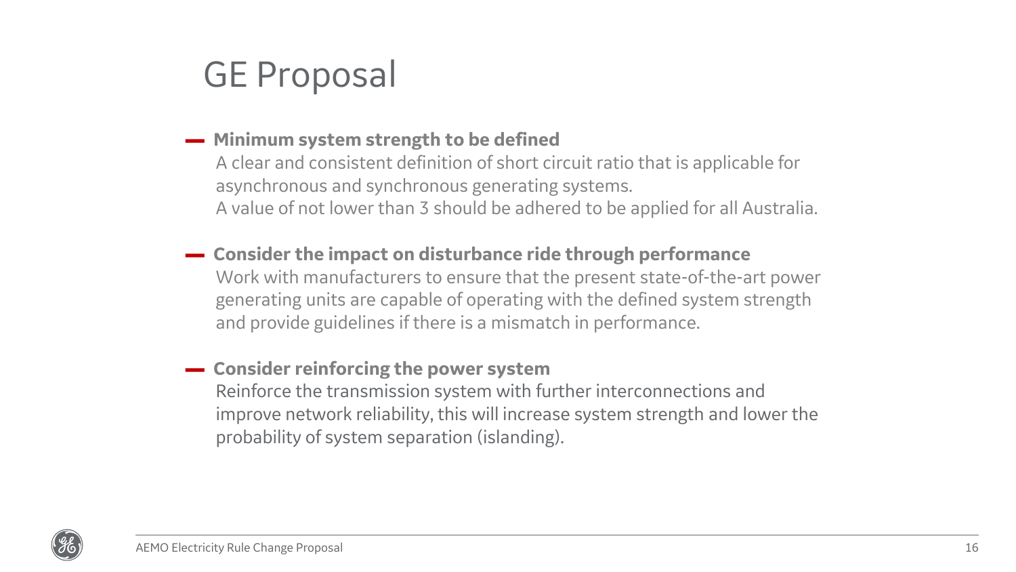### GE Proposal

#### ▬ **Minimum system strength to be defined**

A clear and consistent definition of short circuit ratio that is applicable for asynchronous and synchronous generating systems. A value of not lower than 3 should be adhered to be applied for all Australia.

- ▬ **Consider the impact on disturbance ride through performance** Work with manufacturers to ensure that the present state-of-the-art power generating units are capable of operating with the defined system strength and provide guidelines if there is a mismatch in performance.
- ▬ **Consider reinforcing the power system** Reinforce the transmission system with further interconnections and improve network reliability, this will increase system strength and lower the probability of system separation (islanding).